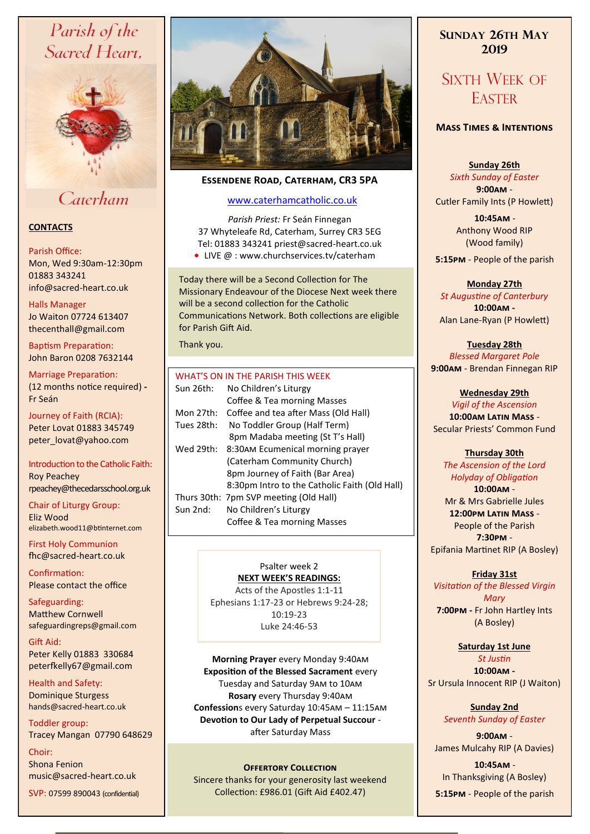# Parish of the Sacred Heart,



# Caterham

# **CONTACTS**

#### Parish Office:

Mon, Wed 9:30am-12:30pm 01883 343241 info@sacred-heart.co.uk .

#### Halls Manager

Jo Waiton 07724 613407 thecenthall@gmail.com

Baptism Preparation: John Baron 0208 7632144

Marriage Preparation: (12 months notice required) **-** Fr Seán

Journey of Faith (RCIA): Peter Lovat 01883 345749 peter\_lovat@yahoo.com

Introduction to the Catholic Faith: Roy Peachey rpeachey@thecedarsschool.org.uk

Chair of Liturgy Group: Eliz Wood elizabeth.wood11@btinternet.com

First Holy Communion fhc@sacred-heart.co.uk

Confirmation: Please contact the office

Safeguarding: Matthew Cornwell safeguardingreps@gmail.com

Gift Aid: Peter Kelly 01883 330684 peterfkelly67@gmail.com

Health and Safety: Dominique Sturgess hands@sacred-heart.co.uk

Toddler group: Tracey Mangan 07790 648629

Choir: Shona Fenion music@sacred-heart.co.uk

SVP: 07599 890043 (confidential)



# **Essendene Road, Caterham, CR3 5PA**

# [www.caterhamcatholic.co.uk](http://Www.caterhamcatholic.co.uk)

*Parish Priest:* Fr Seán Finnegan 37 Whyteleafe Rd, Caterham, Surrey CR3 5EG Tel: 01883 343241 priest@sacred-heart.co.uk

● LIVE @ : www.churchservices.tv/caterham

Today there will be a Second Collection for The Missionary Endeavour of the Diocese Next week there will be a second collection for the Catholic Communications Network. Both collections are eligible for Parish Gift Aid.

Thank you.

# WHAT'S ON IN THE PARISH THIS WEEK

| Sun 26th:  | No Children's Liturgy                         |
|------------|-----------------------------------------------|
|            | Coffee & Tea morning Masses                   |
| Mon 27th:  | Coffee and tea after Mass (Old Hall)          |
| Tues 28th: | No Toddler Group (Half Term)                  |
|            | 8pm Madaba meeting (St T's Hall)              |
| Wed 29th:  | 8:30AM Ecumenical morning prayer              |
|            | (Caterham Community Church)                   |
|            | 8pm Journey of Faith (Bar Area)               |
|            | 8:30pm Intro to the Catholic Faith (Old Hall) |
|            | Thurs 30th: 7pm SVP meeting (Old Hall)        |
| Sun 2nd:   | No Children's Liturgy                         |
|            | Coffee & Tea morning Masses                   |
|            |                                               |

#### Psalter week 2 **NEXT WEEK'S READINGS:**

Acts of the Apostles 1:1-11 Ephesians 1:17-23 or Hebrews 9:24-28;  $10.19 - 23$ Luke 24:46-53

**Morning Prayer** every Monday 9:40am **Exposition of the Blessed Sacrament** every Tuesday and Saturday 9am to 10am **Rosary** every Thursday 9:40am **Confession**s every Saturday 10:45am – 11:15am **Devotion to Our Lady of Perpetual Succour**  after Saturday Mass

# **Offertory Collection**

Sincere thanks for your generosity last weekend Collection: £986.01 (Gift Aid £402.47)

# **SUNDAY 26TH MAY 2019**

# SIXTH WEEK OF **EASTER**

# **Mass Times & Intentions**

# **Sunday 26th**

*Sixth Sunday of Easter* **9:00am** -

Cutler Family Ints (P Howlett)

.**10:45am** - Anthony Wood RIP (Wood family)

.**5:15pm** - People of the parish

# **Monday 27th**

*St Augustine of Canterbury* **10:00am -**  Alan Lane-Ryan (P Howlett)

**Tuesday 28th** *Blessed Margaret Pole* **9:00am** - Brendan Finnegan RIP

# **Wednesday 29th**

*Vigil of the Ascension* **10:00am Latin Mass** - Secular Priests' Common Fund

# **Thursday 30th**

*The Ascension of the Lord Holyday of Obligation* **10:00am** - Mr & Mrs Gabrielle Jules **12:00pm Latin Mass** - People of the Parish **7:30pm** - Epifania Martinet RIP (A Bosley)

### **Friday 31st**

*Visitation of the Blessed Virgin Mary* **7:00pm -** Fr John Hartley Ints (A Bosley)

> **Saturday 1st June** *St Justin*

**10:00am -**  Sr Ursula Innocent RIP (J Waiton)

# **Sunday 2nd** *Seventh Sunday of Easter*

**9:00am** - James Mulcahy RIP (A Davies)

.**10:45am** - In Thanksgiving (A Bosley) .**5:15pm** - People of the parish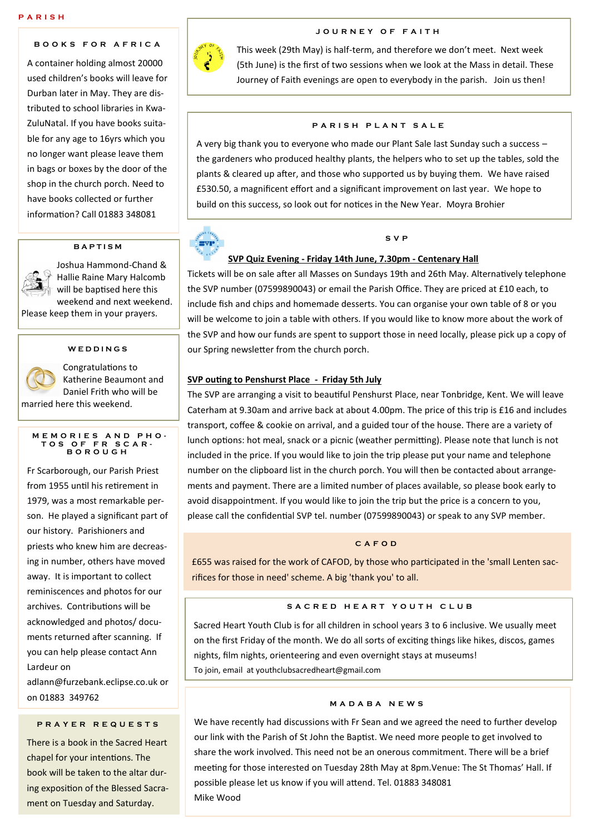# **B O O K S F O R A F R I C A**

A container holding almost 20000 used children's books will leave for Durban later in May. They are distributed to school libraries in Kwa-ZuluNatal. If you have books suitable for any age to 16yrs which you no longer want please leave them in bags or boxes by the door of the shop in the church porch. Need to have books collected or further information? Call 01883 348081

#### **B A P T I S M**



Joshua Hammond-Chand & Hallie Raine Mary Halcomb will be baptised here this weekend and next weekend.

Please keep them in your prayers.

## **W E D D I N G S**



Congratulations to Katherine Beaumont and Daniel Frith who will be married here this weekend.

#### **M E M O R I E S A N D P H O - T O S O F F R S C A R - B O R O U G H**

Fr Scarborough, our Parish Priest from 1955 until his retirement in 1979, was a most remarkable person. He played a significant part of our history. Parishioners and priests who knew him are decreasing in number, others have moved away. It is important to collect reminiscences and photos for our archives. Contributions will be acknowledged and photos/ documents returned after scanning. If you can help please contact Ann Lardeur on

adlann@furzebank.eclipse.co.uk or on 01883 349762

### **P R A Y E R R E Q U E S T S**

There is a book in the Sacred Heart chapel for your intentions. The book will be taken to the altar during exposition of the Blessed Sacrament on Tuesday and Saturday.



# **J O U R N E Y O F F A I T H**

This week (29th May) is half-term, and therefore we don't meet. Next week (5th June) is the first of two sessions when we look at the Mass in detail. These Journey of Faith evenings are open to everybody in the parish. Join us then!

#### **PARISH PLANT SALE**

A very big thank you to everyone who made our Plant Sale last Sunday such a success – the gardeners who produced healthy plants, the helpers who to set up the tables, sold the plants & cleared up after, and those who supported us by buying them. We have raised £530.50, a magnificent effort and a significant improvement on last year. We hope to build on this success, so look out for notices in the New Year. Moyra Brohier



#### **S V P**

#### **SVP Quiz Evening - Friday 14th June, 7.30pm - Centenary Hall**

Tickets will be on sale after all Masses on Sundays 19th and 26th May. Alternatively telephone the SVP number (07599890043) or email the Parish Office. They are priced at £10 each, to include fish and chips and homemade desserts. You can organise your own table of 8 or you will be welcome to join a table with others. If you would like to know more about the work of the SVP and how our funds are spent to support those in need locally, please pick up a copy of our Spring newsletter from the church porch.

#### **SVP outing to Penshurst Place - Friday 5th July**

The SVP are arranging a visit to beautiful Penshurst Place, near Tonbridge, Kent. We will leave Caterham at 9.30am and arrive back at about 4.00pm. The price of this trip is £16 and includes transport, coffee & cookie on arrival, and a guided tour of the house. There are a variety of lunch options: hot meal, snack or a picnic (weather permitting). Please note that lunch is not included in the price. If you would like to join the trip please put your name and telephone number on the clipboard list in the church porch. You will then be contacted about arrangements and payment. There are a limited number of places available, so please book early to avoid disappointment. If you would like to join the trip but the price is a concern to you, please call the confidential SVP tel. number (07599890043) or speak to any SVP member.

#### **C A F O D**

£655 was raised for the work of CAFOD, by those who participated in the 'small Lenten sacrifices for those in need' scheme. A big 'thank you' to all.

### S A C R E D H E A R T Y O U T H C L U B

Sacred Heart Youth Club is for all children in school years 3 to 6 inclusive. We usually meet on the first Friday of the month. We do all sorts of exciting things like hikes, discos, games nights, film nights, orienteering and even overnight stays at museums! To join, email at youthclubsacredheart@gmail.com

#### **M A D A B A N E W S**

We have recently had discussions with Fr Sean and we agreed the need to further develop our link with the Parish of St John the Baptist. We need more people to get involved to share the work involved. This need not be an onerous commitment. There will be a brief meeting for those interested on Tuesday 28th May at 8pm.Venue: The St Thomas' Hall. If possible please let us know if you will attend. Tel. 01883 348081 Mike Wood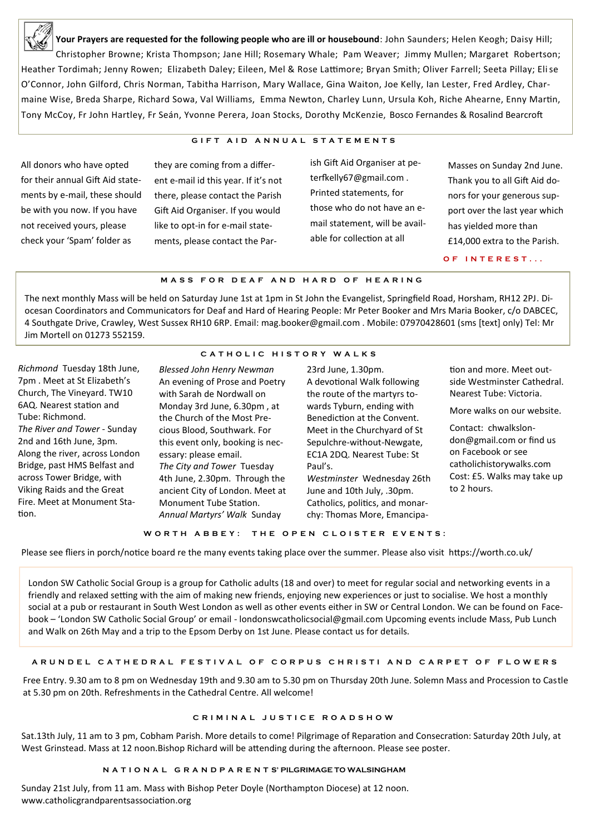

**Your Prayers are requested for the following people who are ill or housebound**: John Saunders; Helen Keogh; Daisy Hill; Christopher Browne; Krista Thompson; Jane Hill; Rosemary Whale; Pam Weaver; Jimmy Mullen; Margaret Robertson; Heather Tordimah; Jenny Rowen; Elizabeth Daley; Eileen, Mel & Rose Lattimore; Bryan Smith; Oliver Farrell; Seeta Pillay; Elise O'Connor, John Gilford, Chris Norman, Tabitha Harrison, Mary Wallace, Gina Waiton, Joe Kelly, Ian Lester, Fred Ardley, Charmaine Wise, Breda Sharpe, Richard Sowa, Val Williams, Emma Newton, Charley Lunn, Ursula Koh, Riche Ahearne, Enny Martin, Tony McCoy, Fr John Hartley, Fr Seán, Yvonne Perera, Joan Stocks, Dorothy McKenzie, Bosco Fernandes & Rosalind Bearcroft

### **G I F T A I D A N N U A L S T A T E M E N T S**

All donors who have opted for their annual Gift Aid statements by e-mail, these should be with you now. If you have not received yours, please check your 'Spam' folder as

they are coming from a different e-mail id this year. If it's not there, please contact the Parish Gift Aid Organiser. If you would like to opt-in for e-mail statements, please contact the Parish Gift Aid Organiser at peterfkelly67@gmail.com . Printed statements, for those who do not have an email statement, will be available for collection at all

Masses on Sunday 2nd June. Thank you to all Gift Aid donors for your generous support over the last year which has yielded more than £14,000 extra to the Parish.

**O F I N T E R E S T . . .**

#### **M A S S F O R D E A F A N D H A R D O F H E A R I N G**

The next monthly Mass will be held on Saturday June 1st at 1pm in St John the Evangelist, Springfield Road, Horsham, RH12 2PJ. Diocesan Coordinators and Communicators for Deaf and Hard of Hearing People: Mr Peter Booker and Mrs Maria Booker, c/o DABCEC, 4 Southgate Drive, Crawley, West Sussex RH10 6RP. Email: mag.booker@gmail.com . Mobile: 07970428601 (sms [text] only) Tel: Mr Jim Mortell on 01273 552159.

# **C A T H O L I C H I S T O R Y W A L K S**

*Richmond* Tuesday 18th June, 7pm . Meet at St Elizabeth's Church, The Vineyard. TW10 6AQ. Nearest station and Tube: Richmond. *The River and Tower* - Sunday 2nd and 16th June, 3pm. Along the river, across London Bridge, past HMS Belfast and across Tower Bridge, with Viking Raids and the Great Fire. Meet at Monument Station.

*Blessed John Henry Newman*  An evening of Prose and Poetry with Sarah de Nordwall on Monday 3rd June, 6.30pm , at the Church of the Most Precious Blood, Southwark. For this event only, booking is necessary: please email. *The City and Tower* Tuesday 4th June, 2.30pm. Through the ancient City of London. Meet at Monument Tube Station. *Annual Martyrs' Walk* Sunday

23rd June, 1.30pm. A devotional Walk following the route of the martyrs towards Tyburn, ending with Benediction at the Convent. Meet in the Churchyard of St Sepulchre-without-Newgate, EC1A 2DQ. Nearest Tube: St Paul's. *Westminster* Wednesday 26th June and 10th July, .30pm. Catholics, politics, and monarchy: Thomas More, Emancipa-

tion and more. Meet outside Westminster Cathedral. Nearest Tube: Victoria.

More walks on our website.

Contact: chwalkslondon@gmail.com or find us on Facebook or see catholichistorywalks.com Cost: £5. Walks may take up to 2 hours.

#### WORTH ABBEY: THE OPEN CLOISTER EVENTS:

Please see fliers in porch/notice board re the many events taking place over the summer. Please also visit https://worth.co.uk/

London SW Catholic Social Group is a group for Catholic adults (18 and over) to meet for regular social and networking events in a friendly and relaxed setting with the aim of making new friends, enjoying new experiences or just to socialise. We host a monthly social at a pub or restaurant in South West London as well as other events either in SW or Central London. We can be found on Facebook – 'London SW Catholic Social Group' or email - londonswcatholicsocial@gmail.com Upcoming events include Mass, Pub Lunch and Walk on 26th May and a trip to the Epsom Derby on 1st June. Please contact us for details.

# **A R U N D E L C A T H E D R A L F E S T I V A L O F C O R P U S C H R I S T I A N D C A R P E T O F F L O W E R S**

Free Entry. 9.30 am to 8 pm on Wednesday 19th and 9.30 am to 5.30 pm on Thursday 20th June. Solemn Mass and Procession to Castle at 5.30 pm on 20th. Refreshments in the Cathedral Centre. All welcome!

### **C R I M I N A L J U S T I C E R O A D S H O W**

Sat.13th July, 11 am to 3 pm, Cobham Parish. More details to come! Pilgrimage of Reparation and Consecration: Saturday 20th July, at West Grinstead. Mass at 12 noon.Bishop Richard will be attending during the afternoon. Please see poster.

# **N A T I O N A L G R A N D P A R E N T S' PILGRIMAGE TO WALSINGHAM**

Sunday 21st July, from 11 am. Mass with Bishop Peter Doyle (Northampton Diocese) at 12 noon. www.catholicgrandparentsassociation.org